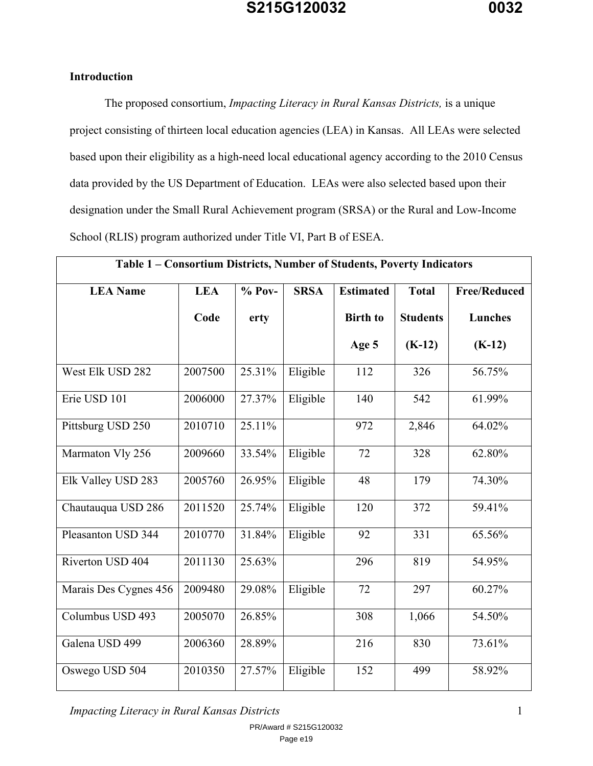## **Introduction**

The proposed consortium, *Impacting Literacy in Rural Kansas Districts,* is a unique project consisting of thirteen local education agencies (LEA) in Kansas. All LEAs were selected based upon their eligibility as a high-need local educational agency according to the 2010 Census data provided by the US Department of Education. LEAs were also selected based upon their designation under the Small Rural Achievement program (SRSA) or the Rural and Low-Income School (RLIS) program authorized under Title VI, Part B of ESEA.

| Table 1 - Consortium Districts, Number of Students, Poverty Indicators |            |          |             |                  |                 |                     |
|------------------------------------------------------------------------|------------|----------|-------------|------------------|-----------------|---------------------|
| <b>LEA Name</b>                                                        | <b>LEA</b> | $% Pov-$ | <b>SRSA</b> | <b>Estimated</b> | <b>Total</b>    | <b>Free/Reduced</b> |
|                                                                        | Code       | erty     |             | <b>Birth to</b>  | <b>Students</b> | <b>Lunches</b>      |
|                                                                        |            |          |             | Age 5            | $(K-12)$        | $(K-12)$            |
| West Elk USD 282                                                       | 2007500    | 25.31%   | Eligible    | 112              | 326             | 56.75%              |
| Erie USD 101                                                           | 2006000    | 27.37%   | Eligible    | 140              | 542             | 61.99%              |
| Pittsburg USD 250                                                      | 2010710    | 25.11%   |             | 972              | 2,846           | 64.02%              |
| Marmaton Vly 256                                                       | 2009660    | 33.54%   | Eligible    | 72               | 328             | 62.80%              |
| Elk Valley USD 283                                                     | 2005760    | 26.95%   | Eligible    | 48               | 179             | 74.30%              |
| Chautauqua USD 286                                                     | 2011520    | 25.74%   | Eligible    | 120              | 372             | 59.41%              |
| Pleasanton USD 344                                                     | 2010770    | 31.84%   | Eligible    | 92               | 331             | 65.56%              |
| Riverton USD 404                                                       | 2011130    | 25.63%   |             | 296              | 819             | 54.95%              |
| Marais Des Cygnes 456                                                  | 2009480    | 29.08%   | Eligible    | 72               | 297             | 60.27%              |
| Columbus USD 493                                                       | 2005070    | 26.85%   |             | 308              | 1,066           | 54.50%              |
| Galena USD 499                                                         | 2006360    | 28.89%   |             | 216              | 830             | 73.61%              |
| Oswego USD 504                                                         | 2010350    | 27.57%   | Eligible    | 152              | 499             | 58.92%              |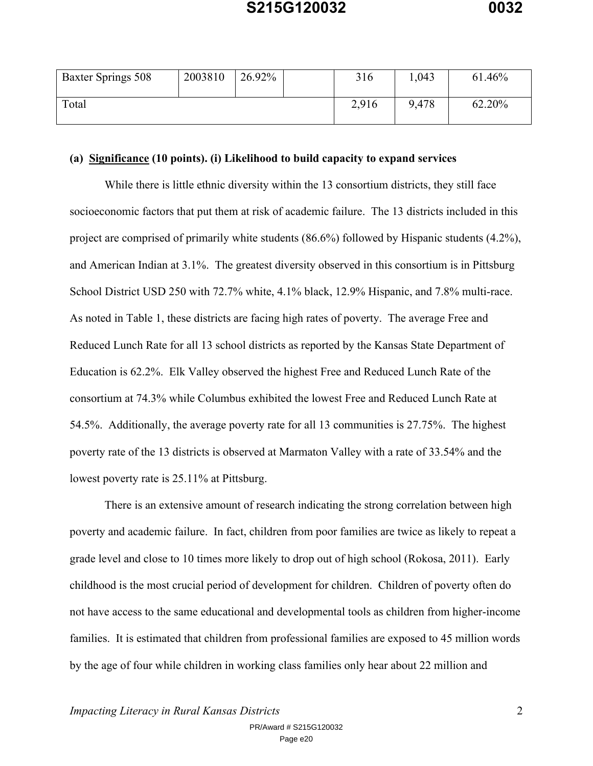| Baxter Springs 508 | 2003810 | 26.92% | 316   | 1,043 | 61.46% |
|--------------------|---------|--------|-------|-------|--------|
| Total              |         |        | 2,916 | 9,478 | 62.20% |

#### **(a) Significance (10 points). (i) Likelihood to build capacity to expand services**

While there is little ethnic diversity within the 13 consortium districts, they still face socioeconomic factors that put them at risk of academic failure. The 13 districts included in this project are comprised of primarily white students (86.6%) followed by Hispanic students (4.2%), and American Indian at 3.1%. The greatest diversity observed in this consortium is in Pittsburg School District USD 250 with 72.7% white, 4.1% black, 12.9% Hispanic, and 7.8% multi-race. As noted in Table 1, these districts are facing high rates of poverty. The average Free and Reduced Lunch Rate for all 13 school districts as reported by the Kansas State Department of Education is 62.2%. Elk Valley observed the highest Free and Reduced Lunch Rate of the consortium at 74.3% while Columbus exhibited the lowest Free and Reduced Lunch Rate at 54.5%. Additionally, the average poverty rate for all 13 communities is 27.75%. The highest poverty rate of the 13 districts is observed at Marmaton Valley with a rate of 33.54% and the lowest poverty rate is 25.11% at Pittsburg.

There is an extensive amount of research indicating the strong correlation between high poverty and academic failure. In fact, children from poor families are twice as likely to repeat a grade level and close to 10 times more likely to drop out of high school (Rokosa, 2011). Early childhood is the most crucial period of development for children. Children of poverty often do not have access to the same educational and developmental tools as children from higher-income families. It is estimated that children from professional families are exposed to 45 million words by the age of four while children in working class families only hear about 22 million and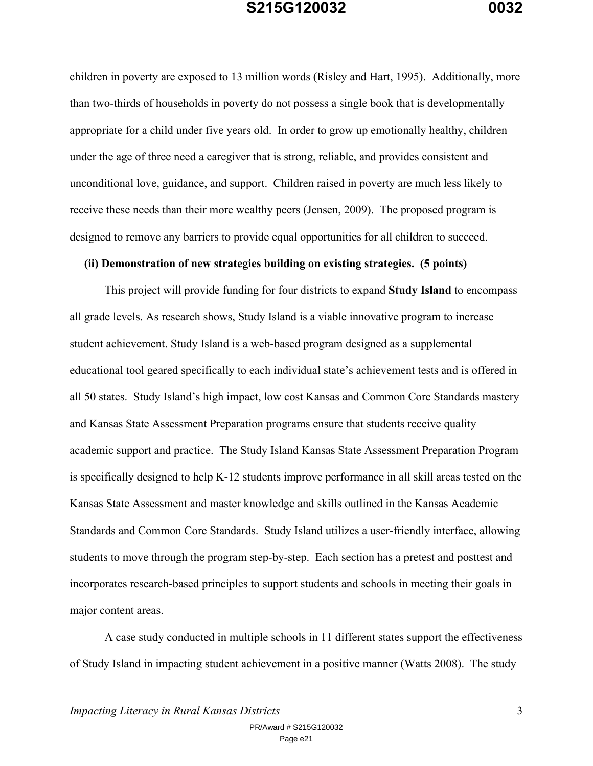children in poverty are exposed to 13 million words (Risley and Hart, 1995). Additionally, more than two-thirds of households in poverty do not possess a single book that is developmentally appropriate for a child under five years old. In order to grow up emotionally healthy, children under the age of three need a caregiver that is strong, reliable, and provides consistent and unconditional love, guidance, and support. Children raised in poverty are much less likely to receive these needs than their more wealthy peers (Jensen, 2009). The proposed program is designed to remove any barriers to provide equal opportunities for all children to succeed.

#### **(ii) Demonstration of new strategies building on existing strategies. (5 points)**

This project will provide funding for four districts to expand **Study Island** to encompass all grade levels. As research shows, Study Island is a viable innovative program to increase student achievement. Study Island is a web-based program designed as a supplemental educational tool geared specifically to each individual state's achievement tests and is offered in all 50 states. Study Island's high impact, low cost Kansas and Common Core Standards mastery and Kansas State Assessment Preparation programs ensure that students receive quality academic support and practice. The Study Island Kansas State Assessment Preparation Program is specifically designed to help K-12 students improve performance in all skill areas tested on the Kansas State Assessment and master knowledge and skills outlined in the Kansas Academic Standards and Common Core Standards. Study Island utilizes a user-friendly interface, allowing students to move through the program step-by-step. Each section has a pretest and posttest and incorporates research-based principles to support students and schools in meeting their goals in major content areas.

A case study conducted in multiple schools in 11 different states support the effectiveness of Study Island in impacting student achievement in a positive manner (Watts 2008). The study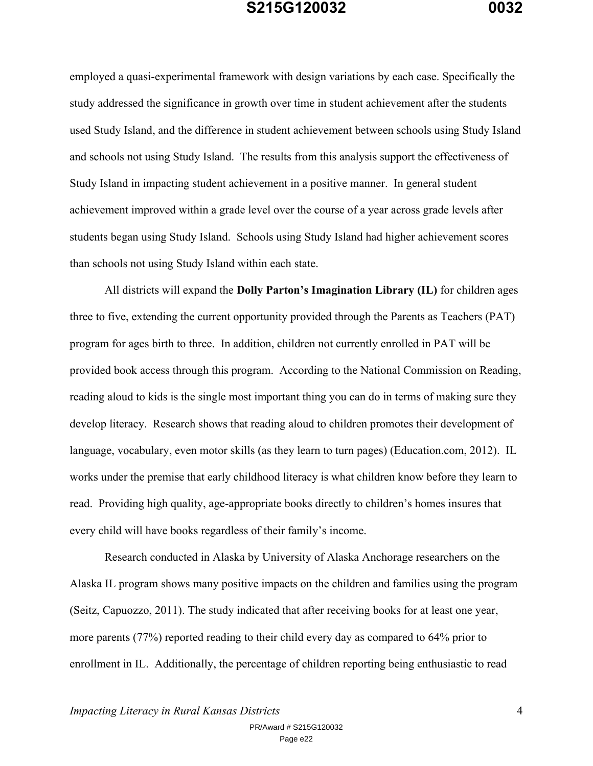employed a quasi-experimental framework with design variations by each case. Specifically the study addressed the significance in growth over time in student achievement after the students used Study Island, and the difference in student achievement between schools using Study Island and schools not using Study Island. The results from this analysis support the effectiveness of Study Island in impacting student achievement in a positive manner. In general student achievement improved within a grade level over the course of a year across grade levels after students began using Study Island. Schools using Study Island had higher achievement scores than schools not using Study Island within each state.

All districts will expand the **Dolly Parton's Imagination Library (IL)** for children ages three to five, extending the current opportunity provided through the Parents as Teachers (PAT) program for ages birth to three. In addition, children not currently enrolled in PAT will be provided book access through this program. According to the National Commission on Reading, reading aloud to kids is the single most important thing you can do in terms of making sure they develop literacy. Research shows that reading aloud to children promotes their development of language, vocabulary, even motor skills (as they learn to turn pages) (Education.com, 2012). IL works under the premise that early childhood literacy is what children know before they learn to read. Providing high quality, age-appropriate books directly to children's homes insures that every child will have books regardless of their family's income.

Research conducted in Alaska by University of Alaska Anchorage researchers on the Alaska IL program shows many positive impacts on the children and families using the program (Seitz, Capuozzo, 2011). The study indicated that after receiving books for at least one year, more parents (77%) reported reading to their child every day as compared to 64% prior to enrollment in IL. Additionally, the percentage of children reporting being enthusiastic to read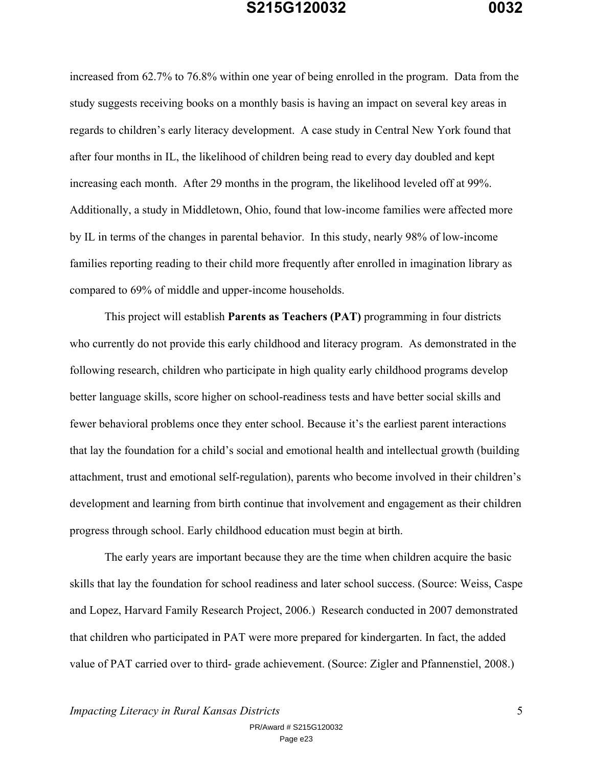increased from 62.7% to 76.8% within one year of being enrolled in the program. Data from the study suggests receiving books on a monthly basis is having an impact on several key areas in regards to children's early literacy development. A case study in Central New York found that after four months in IL, the likelihood of children being read to every day doubled and kept increasing each month. After 29 months in the program, the likelihood leveled off at 99%. Additionally, a study in Middletown, Ohio, found that low-income families were affected more by IL in terms of the changes in parental behavior. In this study, nearly 98% of low-income families reporting reading to their child more frequently after enrolled in imagination library as compared to 69% of middle and upper-income households.

This project will establish **Parents as Teachers (PAT)** programming in four districts who currently do not provide this early childhood and literacy program. As demonstrated in the following research, children who participate in high quality early childhood programs develop better language skills, score higher on school-readiness tests and have better social skills and fewer behavioral problems once they enter school. Because it's the earliest parent interactions that lay the foundation for a child's social and emotional health and intellectual growth (building attachment, trust and emotional self-regulation), parents who become involved in their children's development and learning from birth continue that involvement and engagement as their children progress through school. Early childhood education must begin at birth.

The early years are important because they are the time when children acquire the basic skills that lay the foundation for school readiness and later school success. (Source: Weiss, Caspe and Lopez, Harvard Family Research Project, 2006.) Research conducted in 2007 demonstrated that children who participated in PAT were more prepared for kindergarten. In fact, the added value of PAT carried over to third- grade achievement. (Source: Zigler and Pfannenstiel, 2008.)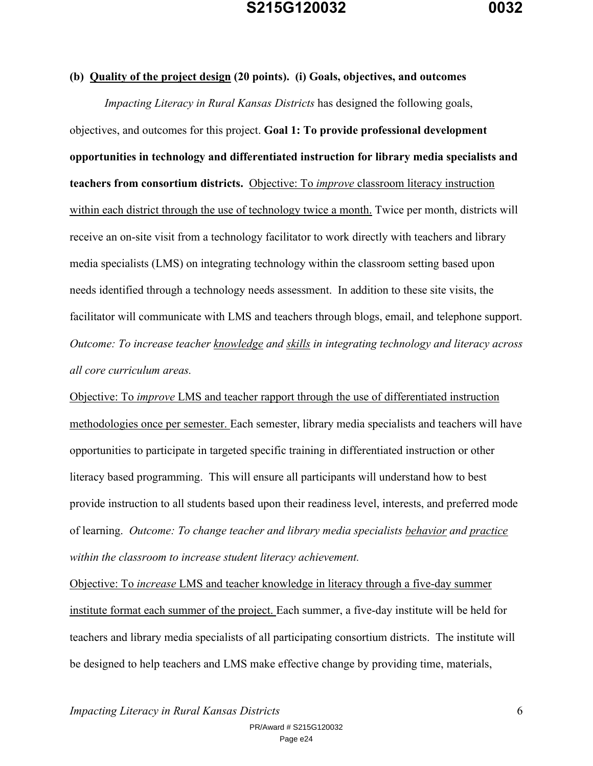#### **(b) Quality of the project design (20 points). (i) Goals, objectives, and outcomes**

*Impacting Literacy in Rural Kansas Districts* has designed the following goals, objectives, and outcomes for this project. **Goal 1: To provide professional development opportunities in technology and differentiated instruction for library media specialists and teachers from consortium districts.** Objective: To *improve* classroom literacy instruction within each district through the use of technology twice a month. Twice per month, districts will receive an on-site visit from a technology facilitator to work directly with teachers and library media specialists (LMS) on integrating technology within the classroom setting based upon needs identified through a technology needs assessment. In addition to these site visits, the facilitator will communicate with LMS and teachers through blogs, email, and telephone support. *Outcome: To increase teacher knowledge and skills in integrating technology and literacy across all core curriculum areas.*

Objective: To *improve* LMS and teacher rapport through the use of differentiated instruction methodologies once per semester. Each semester, library media specialists and teachers will have opportunities to participate in targeted specific training in differentiated instruction or other literacy based programming. This will ensure all participants will understand how to best provide instruction to all students based upon their readiness level, interests, and preferred mode of learning. *Outcome: To change teacher and library media specialists behavior and practice within the classroom to increase student literacy achievement.*

Objective: To *increase* LMS and teacher knowledge in literacy through a five-day summer institute format each summer of the project. Each summer, a five-day institute will be held for teachers and library media specialists of all participating consortium districts. The institute will be designed to help teachers and LMS make effective change by providing time, materials,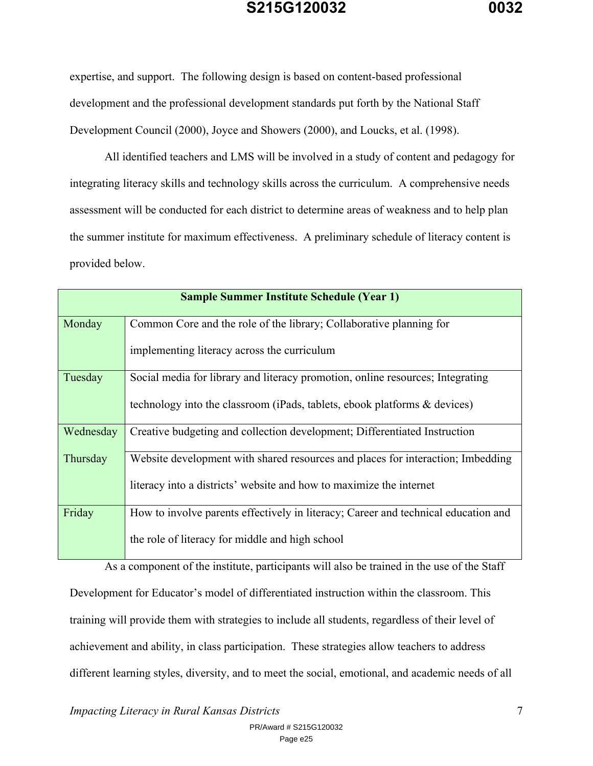expertise, and support. The following design is based on content-based professional development and the professional development standards put forth by the National Staff Development Council (2000), Joyce and Showers (2000), and Loucks, et al. (1998).

All identified teachers and LMS will be involved in a study of content and pedagogy for integrating literacy skills and technology skills across the curriculum. A comprehensive needs assessment will be conducted for each district to determine areas of weakness and to help plan the summer institute for maximum effectiveness. A preliminary schedule of literacy content is provided below.

|           | <b>Sample Summer Institute Schedule (Year 1)</b>                                   |
|-----------|------------------------------------------------------------------------------------|
| Monday    | Common Core and the role of the library; Collaborative planning for                |
|           | implementing literacy across the curriculum                                        |
| Tuesday   | Social media for library and literacy promotion, online resources; Integrating     |
|           | technology into the classroom (iPads, tablets, ebook platforms & devices)          |
| Wednesday | Creative budgeting and collection development; Differentiated Instruction          |
| Thursday  | Website development with shared resources and places for interaction; Imbedding    |
|           | literacy into a districts' website and how to maximize the internet                |
| Friday    | How to involve parents effectively in literacy; Career and technical education and |
|           | the role of literacy for middle and high school                                    |

As a component of the institute, participants will also be trained in the use of the Staff Development for Educator's model of differentiated instruction within the classroom. This training will provide them with strategies to include all students, regardless of their level of achievement and ability, in class participation. These strategies allow teachers to address different learning styles, diversity, and to meet the social, emotional, and academic needs of all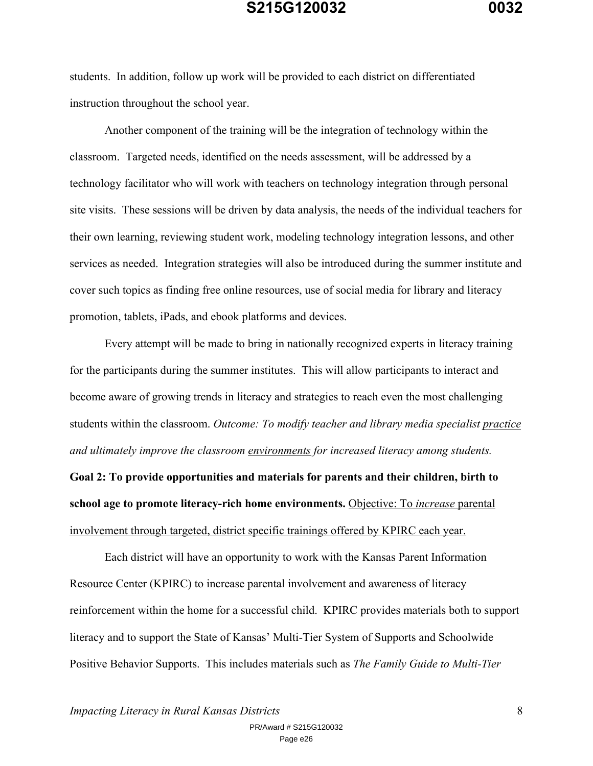students. In addition, follow up work will be provided to each district on differentiated instruction throughout the school year.

Another component of the training will be the integration of technology within the classroom. Targeted needs, identified on the needs assessment, will be addressed by a technology facilitator who will work with teachers on technology integration through personal site visits. These sessions will be driven by data analysis, the needs of the individual teachers for their own learning, reviewing student work, modeling technology integration lessons, and other services as needed. Integration strategies will also be introduced during the summer institute and cover such topics as finding free online resources, use of social media for library and literacy promotion, tablets, iPads, and ebook platforms and devices.

Every attempt will be made to bring in nationally recognized experts in literacy training for the participants during the summer institutes. This will allow participants to interact and become aware of growing trends in literacy and strategies to reach even the most challenging students within the classroom. *Outcome: To modify teacher and library media specialist practice and ultimately improve the classroom environments for increased literacy among students.*

**Goal 2: To provide opportunities and materials for parents and their children, birth to school age to promote literacy-rich home environments.** Objective: To *increase* parental involvement through targeted, district specific trainings offered by KPIRC each year.

Each district will have an opportunity to work with the Kansas Parent Information Resource Center (KPIRC) to increase parental involvement and awareness of literacy reinforcement within the home for a successful child. KPIRC provides materials both to support literacy and to support the State of Kansas' Multi-Tier System of Supports and Schoolwide Positive Behavior Supports. This includes materials such as *The Family Guide to Multi-Tier*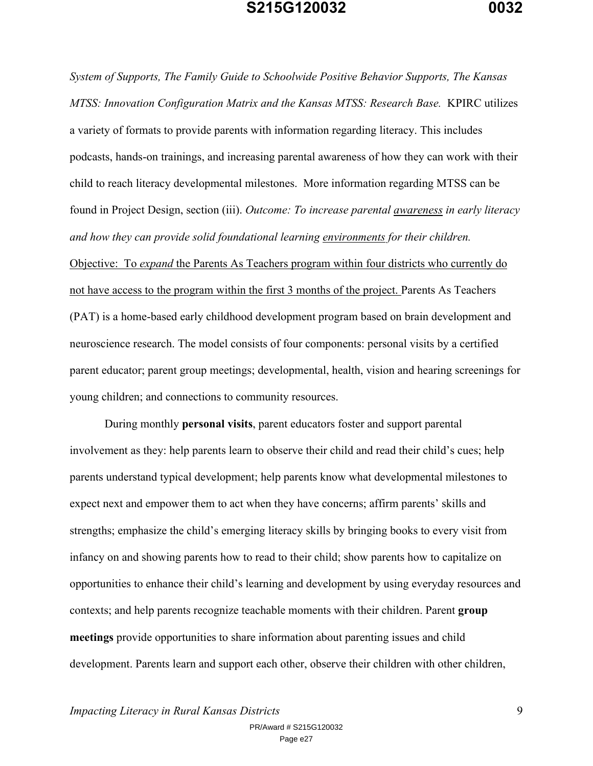*System of Supports, The Family Guide to Schoolwide Positive Behavior Supports, The Kansas MTSS: Innovation Configuration Matrix and the Kansas MTSS: Research Base.* KPIRC utilizes a variety of formats to provide parents with information regarding literacy. This includes podcasts, hands-on trainings, and increasing parental awareness of how they can work with their child to reach literacy developmental milestones. More information regarding MTSS can be found in Project Design, section (iii). *Outcome: To increase parental awareness in early literacy and how they can provide solid foundational learning environments for their children.* Objective: To *expand* the Parents As Teachers program within four districts who currently do not have access to the program within the first 3 months of the project. Parents As Teachers (PAT) is a home-based early childhood development program based on brain development and neuroscience research. The model consists of four components: personal visits by a certified parent educator; parent group meetings; developmental, health, vision and hearing screenings for young children; and connections to community resources.

During monthly **personal visits**, parent educators foster and support parental involvement as they: help parents learn to observe their child and read their child's cues; help parents understand typical development; help parents know what developmental milestones to expect next and empower them to act when they have concerns; affirm parents' skills and strengths; emphasize the child's emerging literacy skills by bringing books to every visit from infancy on and showing parents how to read to their child; show parents how to capitalize on opportunities to enhance their child's learning and development by using everyday resources and contexts; and help parents recognize teachable moments with their children. Parent **group meetings** provide opportunities to share information about parenting issues and child development. Parents learn and support each other, observe their children with other children,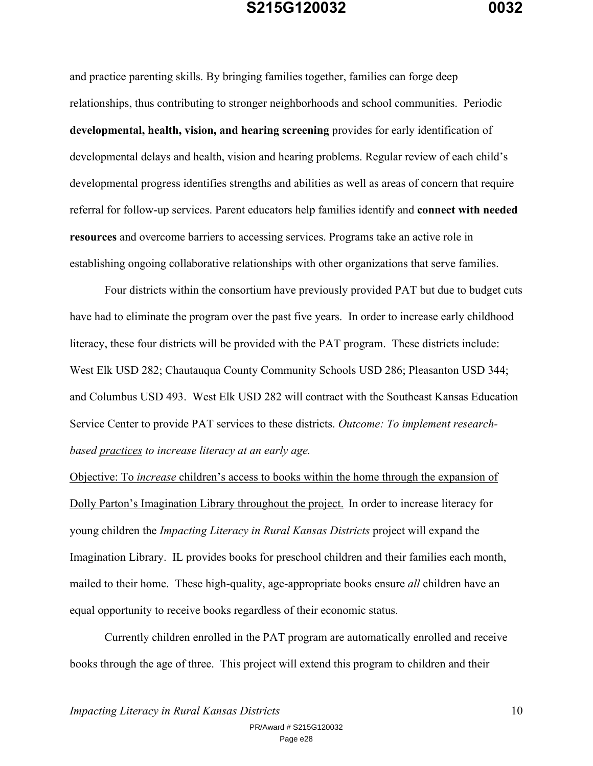and practice parenting skills. By bringing families together, families can forge deep relationships, thus contributing to stronger neighborhoods and school communities. Periodic **developmental, health, vision, and hearing screening** provides for early identification of developmental delays and health, vision and hearing problems. Regular review of each child's developmental progress identifies strengths and abilities as well as areas of concern that require referral for follow-up services. Parent educators help families identify and **connect with needed resources** and overcome barriers to accessing services. Programs take an active role in establishing ongoing collaborative relationships with other organizations that serve families.

Four districts within the consortium have previously provided PAT but due to budget cuts have had to eliminate the program over the past five years. In order to increase early childhood literacy, these four districts will be provided with the PAT program. These districts include: West Elk USD 282; Chautauqua County Community Schools USD 286; Pleasanton USD 344; and Columbus USD 493. West Elk USD 282 will contract with the Southeast Kansas Education Service Center to provide PAT services to these districts. *Outcome: To implement researchbased practices to increase literacy at an early age.*

Objective: To *increase* children's access to books within the home through the expansion of Dolly Parton's Imagination Library throughout the project. In order to increase literacy for young children the *Impacting Literacy in Rural Kansas Districts* project will expand the Imagination Library. IL provides books for preschool children and their families each month, mailed to their home. These high-quality, age-appropriate books ensure *all* children have an equal opportunity to receive books regardless of their economic status.

Currently children enrolled in the PAT program are automatically enrolled and receive books through the age of three. This project will extend this program to children and their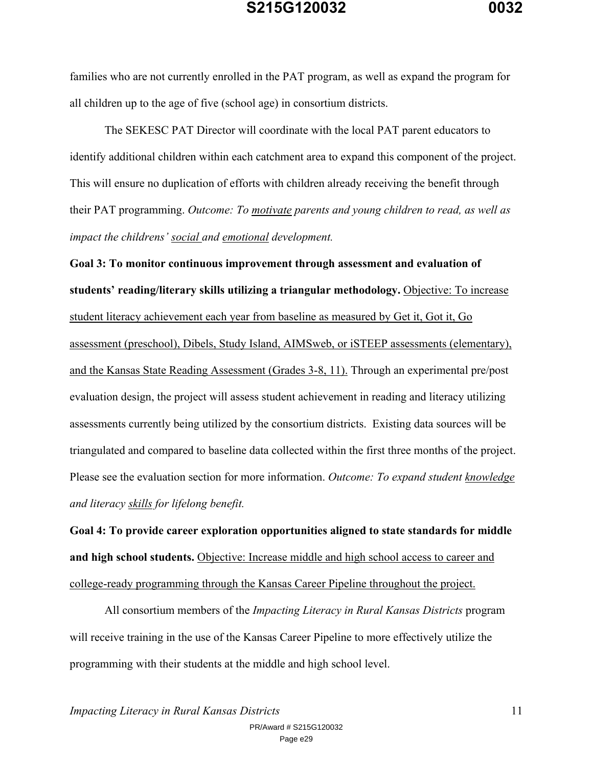families who are not currently enrolled in the PAT program, as well as expand the program for all children up to the age of five (school age) in consortium districts.

The SEKESC PAT Director will coordinate with the local PAT parent educators to identify additional children within each catchment area to expand this component of the project. This will ensure no duplication of efforts with children already receiving the benefit through their PAT programming. *Outcome: To motivate parents and young children to read, as well as impact the childrens' social and emotional development.*

**Goal 3: To monitor continuous improvement through assessment and evaluation of students' reading/literary skills utilizing a triangular methodology.** Objective: To increase student literacy achievement each year from baseline as measured by Get it, Got it, Go assessment (preschool), Dibels, Study Island, AIMSweb, or iSTEEP assessments (elementary), and the Kansas State Reading Assessment (Grades 3-8, 11). Through an experimental pre/post evaluation design, the project will assess student achievement in reading and literacy utilizing assessments currently being utilized by the consortium districts. Existing data sources will be triangulated and compared to baseline data collected within the first three months of the project. Please see the evaluation section for more information. *Outcome: To expand student knowledge and literacy skills for lifelong benefit.*

**Goal 4: To provide career exploration opportunities aligned to state standards for middle and high school students.** Objective: Increase middle and high school access to career and college-ready programming through the Kansas Career Pipeline throughout the project.

All consortium members of the *Impacting Literacy in Rural Kansas Districts* program will receive training in the use of the Kansas Career Pipeline to more effectively utilize the programming with their students at the middle and high school level.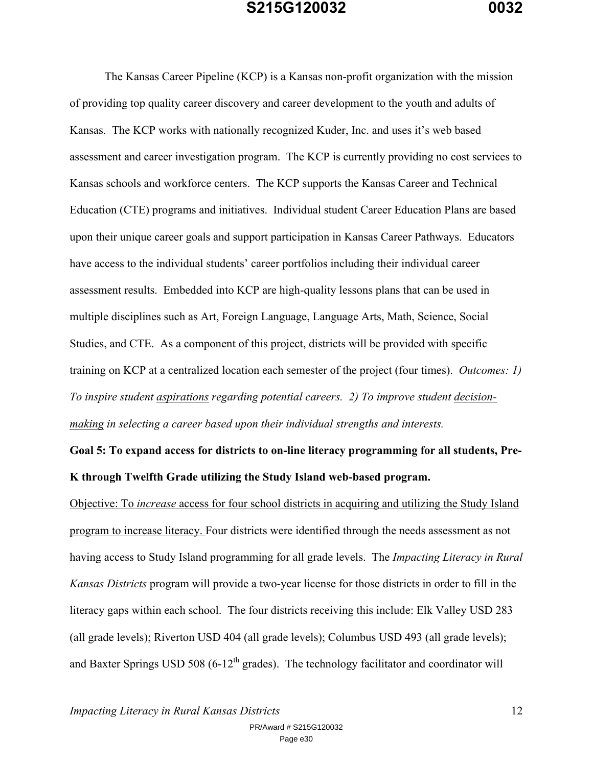The Kansas Career Pipeline (KCP) is a Kansas non-profit organization with the mission of providing top quality career discovery and career development to the youth and adults of Kansas. The KCP works with nationally recognized Kuder, Inc. and uses it's web based assessment and career investigation program. The KCP is currently providing no cost services to Kansas schools and workforce centers. The KCP supports the Kansas Career and Technical Education (CTE) programs and initiatives. Individual student Career Education Plans are based upon their unique career goals and support participation in Kansas Career Pathways. Educators have access to the individual students' career portfolios including their individual career assessment results. Embedded into KCP are high-quality lessons plans that can be used in multiple disciplines such as Art, Foreign Language, Language Arts, Math, Science, Social Studies, and CTE. As a component of this project, districts will be provided with specific training on KCP at a centralized location each semester of the project (four times). *Outcomes: 1) To inspire student aspirations regarding potential careers. 2) To improve student decisionmaking in selecting a career based upon their individual strengths and interests.*

**Goal 5: To expand access for districts to on-line literacy programming for all students, Pre-K through Twelfth Grade utilizing the Study Island web-based program.**

Objective: To *increase* access for four school districts in acquiring and utilizing the Study Island program to increase literacy. Four districts were identified through the needs assessment as not having access to Study Island programming for all grade levels. The *Impacting Literacy in Rural Kansas Districts* program will provide a two-year license for those districts in order to fill in the literacy gaps within each school. The four districts receiving this include: Elk Valley USD 283 (all grade levels); Riverton USD 404 (all grade levels); Columbus USD 493 (all grade levels); and Baxter Springs USD 508 (6-12<sup>th</sup> grades). The technology facilitator and coordinator will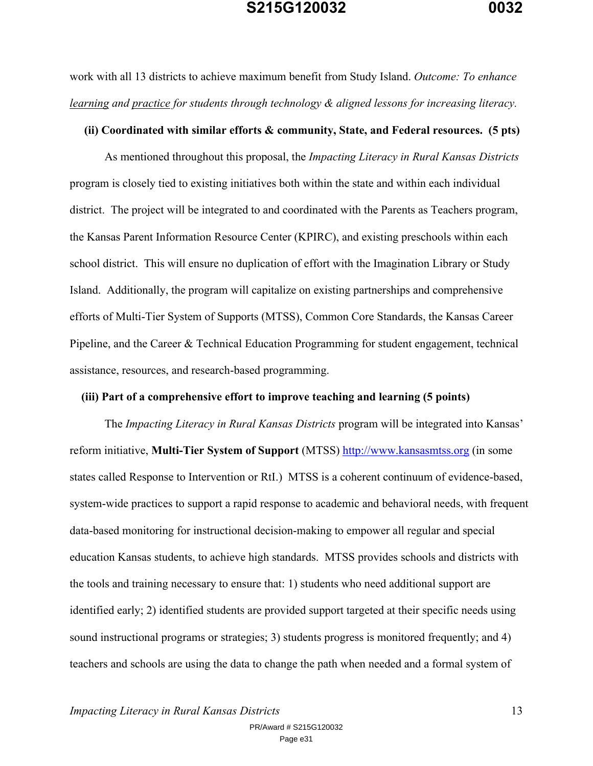work with all 13 districts to achieve maximum benefit from Study Island. *Outcome: To enhance learning and practice for students through technology & aligned lessons for increasing literacy.*

## **(ii) Coordinated with similar efforts & community, State, and Federal resources. (5 pts)**

As mentioned throughout this proposal, the *Impacting Literacy in Rural Kansas Districts* program is closely tied to existing initiatives both within the state and within each individual district. The project will be integrated to and coordinated with the Parents as Teachers program, the Kansas Parent Information Resource Center (KPIRC), and existing preschools within each school district. This will ensure no duplication of effort with the Imagination Library or Study Island. Additionally, the program will capitalize on existing partnerships and comprehensive efforts of Multi-Tier System of Supports (MTSS), Common Core Standards, the Kansas Career Pipeline, and the Career & Technical Education Programming for student engagement, technical assistance, resources, and research-based programming.

## **(iii) Part of a comprehensive effort to improve teaching and learning (5 points)**

The *Impacting Literacy in Rural Kansas Districts* program will be integrated into Kansas' reform initiative, **Multi-Tier System of Support** (MTSS) http://www.kansasmtss.org (in some states called Response to Intervention or RtI.) MTSS is a coherent continuum of evidence-based, system-wide practices to support a rapid response to academic and behavioral needs, with frequent data-based monitoring for instructional decision-making to empower all regular and special education Kansas students, to achieve high standards. MTSS provides schools and districts with the tools and training necessary to ensure that: 1) students who need additional support are identified early; 2) identified students are provided support targeted at their specific needs using sound instructional programs or strategies; 3) students progress is monitored frequently; and 4) teachers and schools are using the data to change the path when needed and a formal system of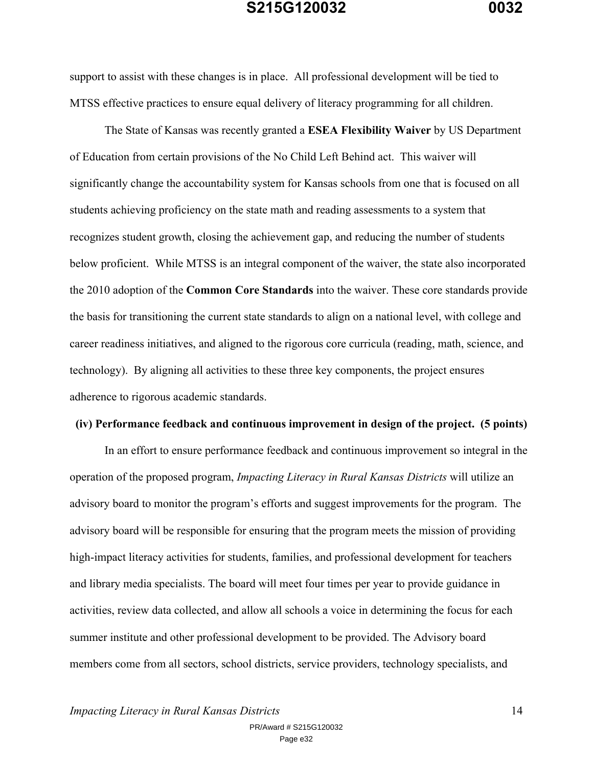support to assist with these changes is in place. All professional development will be tied to MTSS effective practices to ensure equal delivery of literacy programming for all children.

The State of Kansas was recently granted a **ESEA Flexibility Waiver** by US Department of Education from certain provisions of the No Child Left Behind act. This waiver will significantly change the accountability system for Kansas schools from one that is focused on all students achieving proficiency on the state math and reading assessments to a system that recognizes student growth, closing the achievement gap, and reducing the number of students below proficient. While MTSS is an integral component of the waiver, the state also incorporated the 2010 adoption of the **Common Core Standards** into the waiver. These core standards provide the basis for transitioning the current state standards to align on a national level, with college and career readiness initiatives, and aligned to the rigorous core curricula (reading, math, science, and technology). By aligning all activities to these three key components, the project ensures adherence to rigorous academic standards.

## **(iv) Performance feedback and continuous improvement in design of the project. (5 points)**

In an effort to ensure performance feedback and continuous improvement so integral in the operation of the proposed program, *Impacting Literacy in Rural Kansas Districts* will utilize an advisory board to monitor the program's efforts and suggest improvements for the program. The advisory board will be responsible for ensuring that the program meets the mission of providing high-impact literacy activities for students, families, and professional development for teachers and library media specialists. The board will meet four times per year to provide guidance in activities, review data collected, and allow all schools a voice in determining the focus for each summer institute and other professional development to be provided. The Advisory board members come from all sectors, school districts, service providers, technology specialists, and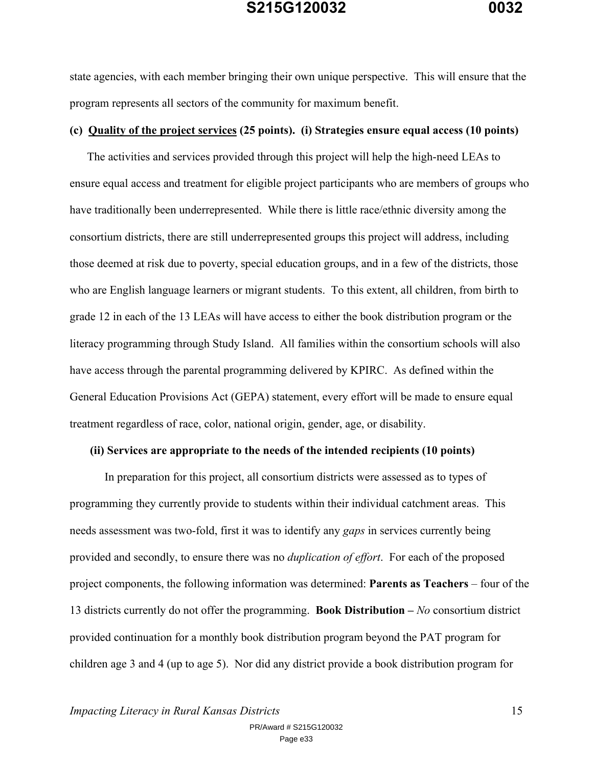state agencies, with each member bringing their own unique perspective. This will ensure that the program represents all sectors of the community for maximum benefit.

## **(c) Quality of the project services (25 points). (i) Strategies ensure equal access (10 points)**

The activities and services provided through this project will help the high-need LEAs to ensure equal access and treatment for eligible project participants who are members of groups who have traditionally been underrepresented. While there is little race/ethnic diversity among the consortium districts, there are still underrepresented groups this project will address, including those deemed at risk due to poverty, special education groups, and in a few of the districts, those who are English language learners or migrant students. To this extent, all children, from birth to grade 12 in each of the 13 LEAs will have access to either the book distribution program or the literacy programming through Study Island. All families within the consortium schools will also have access through the parental programming delivered by KPIRC. As defined within the General Education Provisions Act (GEPA) statement, every effort will be made to ensure equal treatment regardless of race, color, national origin, gender, age, or disability.

#### **(ii) Services are appropriate to the needs of the intended recipients (10 points)**

In preparation for this project, all consortium districts were assessed as to types of programming they currently provide to students within their individual catchment areas. This needs assessment was two-fold, first it was to identify any *gaps* in services currently being provided and secondly, to ensure there was no *duplication of effort*. For each of the proposed project components, the following information was determined: **Parents as Teachers** – four of the 13 districts currently do not offer the programming. **Book Distribution –** *No* consortium district provided continuation for a monthly book distribution program beyond the PAT program for children age 3 and 4 (up to age 5). Nor did any district provide a book distribution program for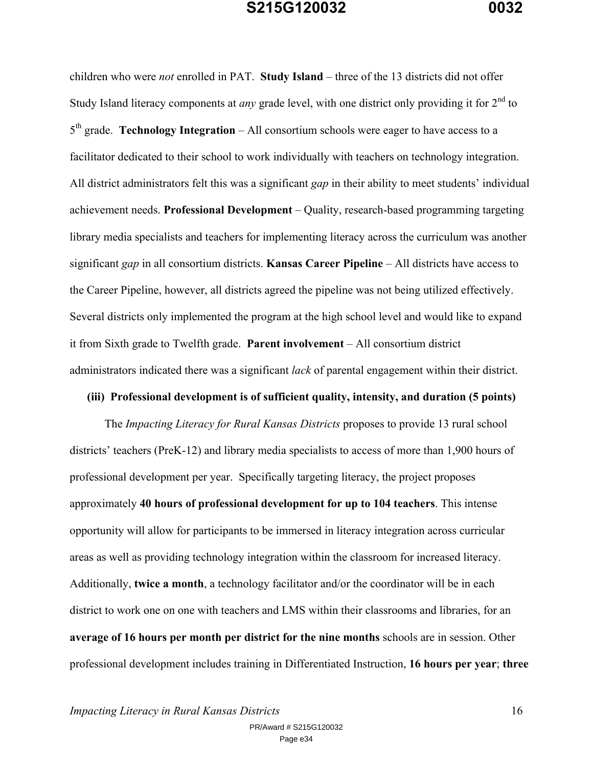children who were *not* enrolled in PAT. **Study Island** – three of the 13 districts did not offer Study Island literacy components at *any* grade level, with one district only providing it for 2<sup>nd</sup> to 5th grade. **Technology Integration** – All consortium schools were eager to have access to a facilitator dedicated to their school to work individually with teachers on technology integration. All district administrators felt this was a significant *gap* in their ability to meet students' individual achievement needs. **Professional Development** – Quality, research-based programming targeting library media specialists and teachers for implementing literacy across the curriculum was another significant *gap* in all consortium districts. **Kansas Career Pipeline** – All districts have access to the Career Pipeline, however, all districts agreed the pipeline was not being utilized effectively. Several districts only implemented the program at the high school level and would like to expand it from Sixth grade to Twelfth grade. **Parent involvement** – All consortium district administrators indicated there was a significant *lack* of parental engagement within their district.

#### **(iii) Professional development is of sufficient quality, intensity, and duration (5 points)**

The *Impacting Literacy for Rural Kansas Districts* proposes to provide 13 rural school districts' teachers (PreK-12) and library media specialists to access of more than 1,900 hours of professional development per year. Specifically targeting literacy, the project proposes approximately **40 hours of professional development for up to 104 teachers**. This intense opportunity will allow for participants to be immersed in literacy integration across curricular areas as well as providing technology integration within the classroom for increased literacy. Additionally, **twice a month**, a technology facilitator and/or the coordinator will be in each district to work one on one with teachers and LMS within their classrooms and libraries, for an **average of 16 hours per month per district for the nine months** schools are in session. Other professional development includes training in Differentiated Instruction, **16 hours per year**; **three**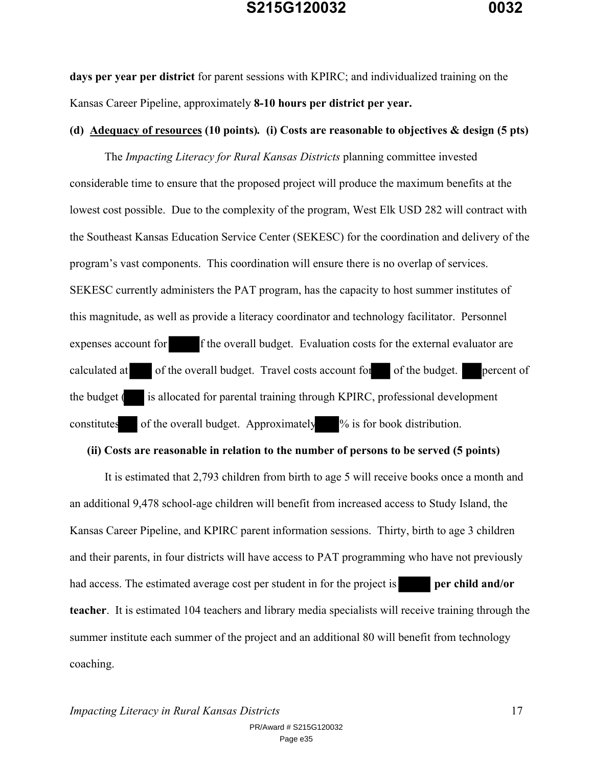**days per year per district** for parent sessions with KPIRC; and individualized training on the Kansas Career Pipeline, approximately **8-10 hours per district per year.**

## **(d) Adequacy of resources (10 points)***.* **(i) Costs are reasonable to objectives & design (5 pts)**

The *Impacting Literacy for Rural Kansas Districts* planning committee invested considerable time to ensure that the proposed project will produce the maximum benefits at the lowest cost possible. Due to the complexity of the program, West Elk USD 282 will contract with the Southeast Kansas Education Service Center (SEKESC) for the coordination and delivery of the program's vast components. This coordination will ensure there is no overlap of services. SEKESC currently administers the PAT program, has the capacity to host summer institutes of this magnitude, as well as provide a literacy coordinator and technology facilitator. Personnel expenses account for f the overall budget. Evaluation costs for the external evaluator are calculated at of the overall budget. Travel costs account for of the budget. percent of the budget ( is allocated for parental training through KPIRC, professional development constitutes of the overall budget. Approximately % is for book distribution.

#### **(ii) Costs are reasonable in relation to the number of persons to be served (5 points)**

It is estimated that 2,793 children from birth to age 5 will receive books once a month and an additional 9,478 school-age children will benefit from increased access to Study Island, the Kansas Career Pipeline, and KPIRC parent information sessions. Thirty, birth to age 3 children and their parents, in four districts will have access to PAT programming who have not previously had access. The estimated average cost per student in for the project is **per child and/or teacher**. It is estimated 104 teachers and library media specialists will receive training through the summer institute each summer of the project and an additional 80 will benefit from technology coaching.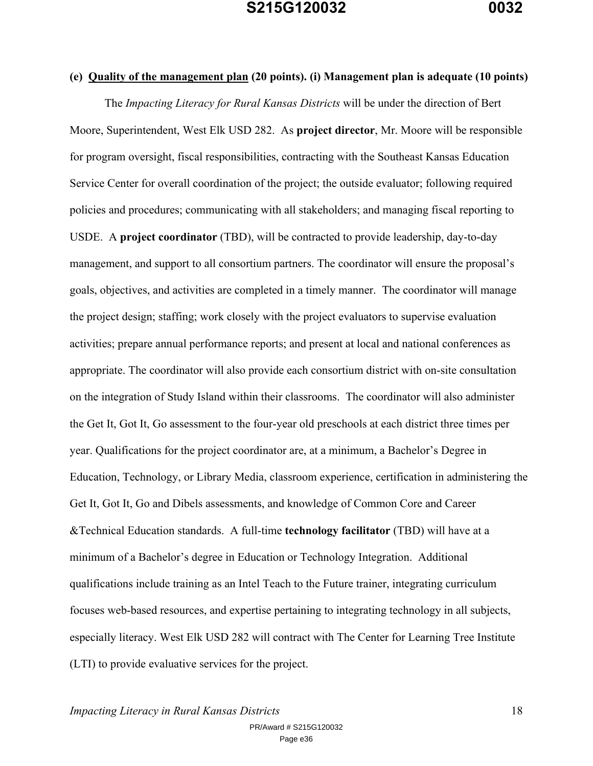**(e) Quality of the management plan (20 points). (i) Management plan is adequate (10 points)**  The *Impacting Literacy for Rural Kansas Districts* will be under the direction of Bert Moore, Superintendent, West Elk USD 282. As **project director**, Mr. Moore will be responsible for program oversight, fiscal responsibilities, contracting with the Southeast Kansas Education Service Center for overall coordination of the project; the outside evaluator; following required policies and procedures; communicating with all stakeholders; and managing fiscal reporting to USDE. A **project coordinator** (TBD), will be contracted to provide leadership, day-to-day management, and support to all consortium partners. The coordinator will ensure the proposal's goals, objectives, and activities are completed in a timely manner. The coordinator will manage the project design; staffing; work closely with the project evaluators to supervise evaluation activities; prepare annual performance reports; and present at local and national conferences as appropriate. The coordinator will also provide each consortium district with on-site consultation on the integration of Study Island within their classrooms. The coordinator will also administer the Get It, Got It, Go assessment to the four-year old preschools at each district three times per year. Qualifications for the project coordinator are, at a minimum, a Bachelor's Degree in Education, Technology, or Library Media, classroom experience, certification in administering the Get It, Got It, Go and Dibels assessments, and knowledge of Common Core and Career &Technical Education standards. A full-time **technology facilitator** (TBD) will have at a minimum of a Bachelor's degree in Education or Technology Integration. Additional qualifications include training as an Intel Teach to the Future trainer, integrating curriculum focuses web-based resources, and expertise pertaining to integrating technology in all subjects, especially literacy. West Elk USD 282 will contract with The Center for Learning Tree Institute (LTI) to provide evaluative services for the project.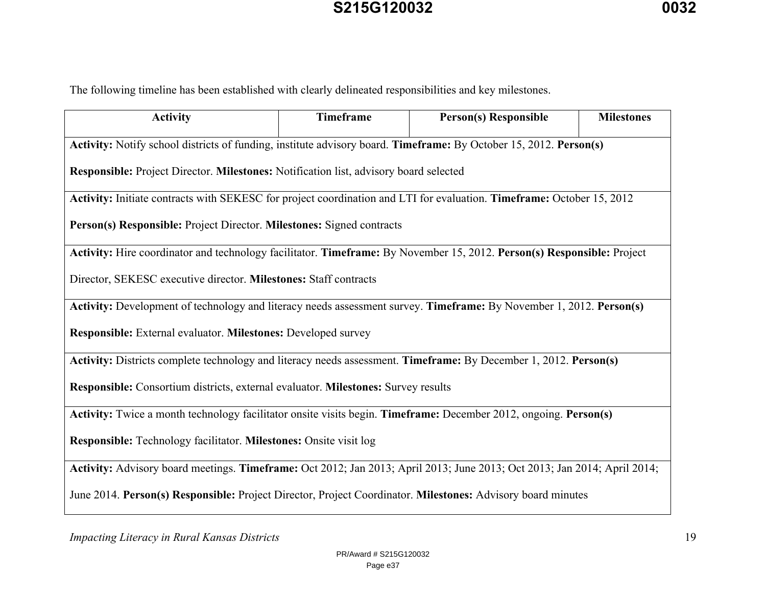The following timeline has been established with clearly delineated responsibilities and key milestones.

| <b>Activity</b>                                                                                                          | Timeframe | <b>Person(s) Responsible</b> | <b>Milestones</b> |  |
|--------------------------------------------------------------------------------------------------------------------------|-----------|------------------------------|-------------------|--|
| Activity: Notify school districts of funding, institute advisory board. Timeframe: By October 15, 2012. Person(s)        |           |                              |                   |  |
| Responsible: Project Director. Milestones: Notification list, advisory board selected                                    |           |                              |                   |  |
| Activity: Initiate contracts with SEKESC for project coordination and LTI for evaluation. Timeframe: October 15, 2012    |           |                              |                   |  |
| Person(s) Responsible: Project Director. Milestones: Signed contracts                                                    |           |                              |                   |  |
| Activity: Hire coordinator and technology facilitator. Timeframe: By November 15, 2012. Person(s) Responsible: Project   |           |                              |                   |  |
| Director, SEKESC executive director. Milestones: Staff contracts                                                         |           |                              |                   |  |
| Activity: Development of technology and literacy needs assessment survey. Timeframe: By November 1, 2012. Person(s)      |           |                              |                   |  |
| Responsible: External evaluator. Milestones: Developed survey                                                            |           |                              |                   |  |
| Activity: Districts complete technology and literacy needs assessment. Timeframe: By December 1, 2012. Person(s)         |           |                              |                   |  |
| Responsible: Consortium districts, external evaluator. Milestones: Survey results                                        |           |                              |                   |  |
| Activity: Twice a month technology facilitator onsite visits begin. Timeframe: December 2012, ongoing. Person(s)         |           |                              |                   |  |
| Responsible: Technology facilitator. Milestones: Onsite visit log                                                        |           |                              |                   |  |
| Activity: Advisory board meetings. Timeframe: Oct 2012; Jan 2013; April 2013; June 2013; Oct 2013; Jan 2014; April 2014; |           |                              |                   |  |
| June 2014. Person(s) Responsible: Project Director, Project Coordinator. Milestones: Advisory board minutes              |           |                              |                   |  |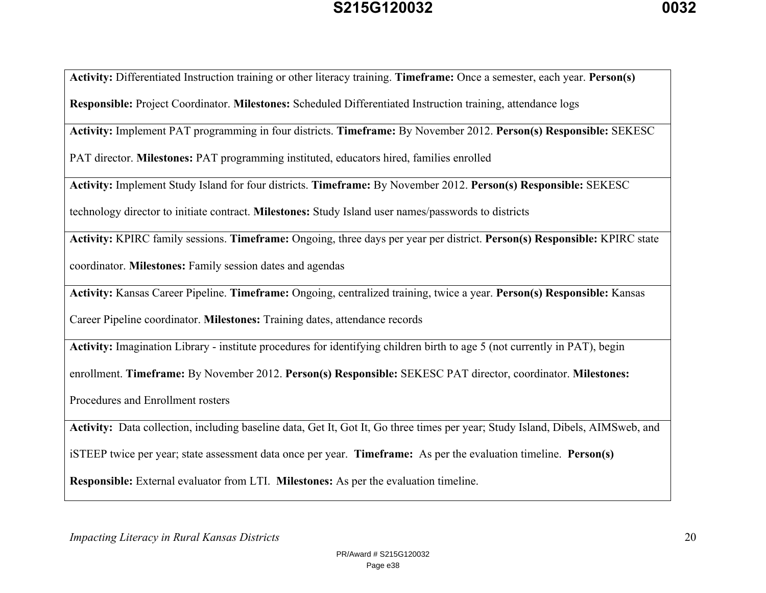**Activity:** Differentiated Instruction training or other literacy training. **Timeframe:** Once a semester, each year. **Person(s) Responsible:** Project Coordinator. **Milestones:** Scheduled Differentiated Instruction training, attendance logs

**Activity:** Implement PAT programming in four districts. **Timeframe:** By November 2012. **Person(s) Responsible:** SEKESC

PAT director. **Milestones:** PAT programming instituted, educators hired, families enrolled

**Activity:** Implement Study Island for four districts. **Timeframe:** By November 2012. **Person(s) Responsible:** SEKESC

technology director to initiate contract. **Milestones:** Study Island user names/passwords to districts

**Activity:** KPIRC family sessions. **Timeframe:** Ongoing, three days per year per district. **Person(s) Responsible:** KPIRC state

coordinator. **Milestones:** Family session dates and agendas

**Activity:** Kansas Career Pipeline. **Timeframe:** Ongoing, centralized training, twice a year. **Person(s) Responsible:** Kansas

Career Pipeline coordinator. **Milestones:** Training dates, attendance records

**Activity:** Imagination Library - institute procedures for identifying children birth to age 5 (not currently in PAT), begin

enrollment. **Timeframe:** By November 2012. **Person(s) Responsible:** SEKESC PAT director, coordinator. **Milestones:** 

Procedures and Enrollment rosters

**Activity:** Data collection, including baseline data, Get It, Got It, Go three times per year; Study Island, Dibels, AIMSweb, and

iSTEEP twice per year; state assessment data once per year. **Timeframe:** As per the evaluation timeline. **Person(s)** 

**Responsible:** External evaluator from LTI. **Milestones:** As per the evaluation timeline.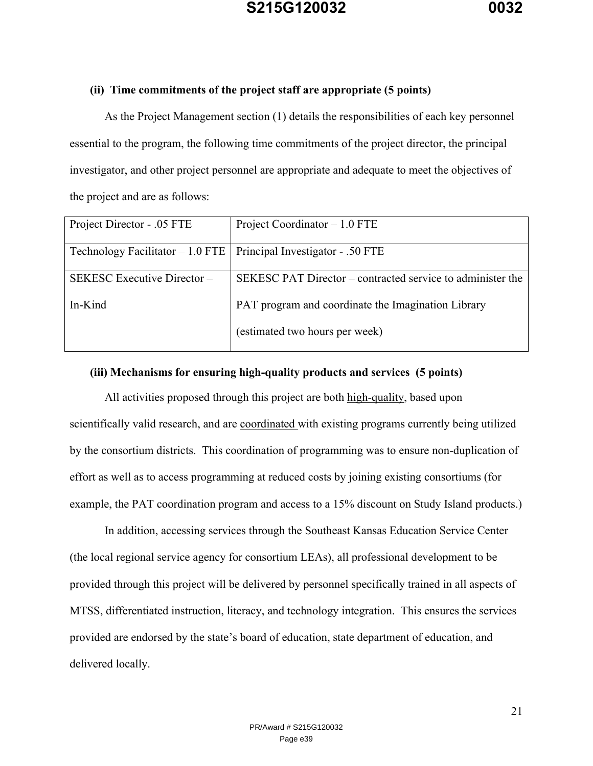## **(ii) Time commitments of the project staff are appropriate (5 points)**

As the Project Management section (1) details the responsibilities of each key personnel essential to the program, the following time commitments of the project director, the principal investigator, and other project personnel are appropriate and adequate to meet the objectives of the project and are as follows:

| Project Director - .05 FTE                                           | Project Coordinator $-1.0$ FTE                             |
|----------------------------------------------------------------------|------------------------------------------------------------|
|                                                                      |                                                            |
| Technology Facilitator $-1.0$ FTE   Principal Investigator - .50 FTE |                                                            |
|                                                                      |                                                            |
| SEKESC Executive Director-                                           | SEKESC PAT Director – contracted service to administer the |
|                                                                      |                                                            |
| In-Kind                                                              | PAT program and coordinate the Imagination Library         |
|                                                                      |                                                            |
|                                                                      | (estimated two hours per week)                             |
|                                                                      |                                                            |

## **(iii) Mechanisms for ensuring high-quality products and services (5 points)**

All activities proposed through this project are both high-quality, based upon scientifically valid research, and are coordinated with existing programs currently being utilized by the consortium districts. This coordination of programming was to ensure non-duplication of effort as well as to access programming at reduced costs by joining existing consortiums (for example, the PAT coordination program and access to a 15% discount on Study Island products.)

In addition, accessing services through the Southeast Kansas Education Service Center (the local regional service agency for consortium LEAs), all professional development to be provided through this project will be delivered by personnel specifically trained in all aspects of MTSS, differentiated instruction, literacy, and technology integration. This ensures the services provided are endorsed by the state's board of education, state department of education, and delivered locally.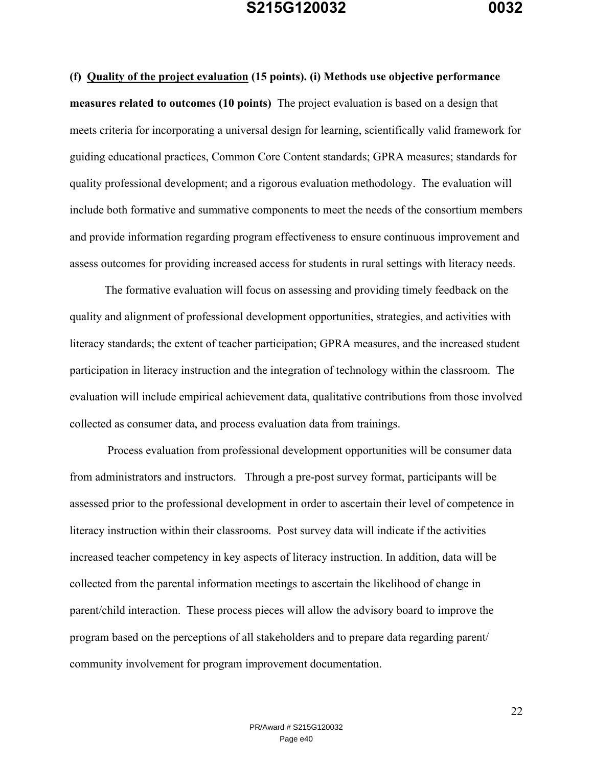**(f) Quality of the project evaluation (15 points). (i) Methods use objective performance measures related to outcomes (10 points)** The project evaluation is based on a design that meets criteria for incorporating a universal design for learning, scientifically valid framework for guiding educational practices, Common Core Content standards; GPRA measures; standards for quality professional development; and a rigorous evaluation methodology. The evaluation will include both formative and summative components to meet the needs of the consortium members and provide information regarding program effectiveness to ensure continuous improvement and assess outcomes for providing increased access for students in rural settings with literacy needs.

The formative evaluation will focus on assessing and providing timely feedback on the quality and alignment of professional development opportunities, strategies, and activities with literacy standards; the extent of teacher participation; GPRA measures, and the increased student participation in literacy instruction and the integration of technology within the classroom. The evaluation will include empirical achievement data, qualitative contributions from those involved collected as consumer data, and process evaluation data from trainings.

 Process evaluation from professional development opportunities will be consumer data from administrators and instructors. Through a pre-post survey format, participants will be assessed prior to the professional development in order to ascertain their level of competence in literacy instruction within their classrooms. Post survey data will indicate if the activities increased teacher competency in key aspects of literacy instruction. In addition, data will be collected from the parental information meetings to ascertain the likelihood of change in parent/child interaction. These process pieces will allow the advisory board to improve the program based on the perceptions of all stakeholders and to prepare data regarding parent/ community involvement for program improvement documentation.

22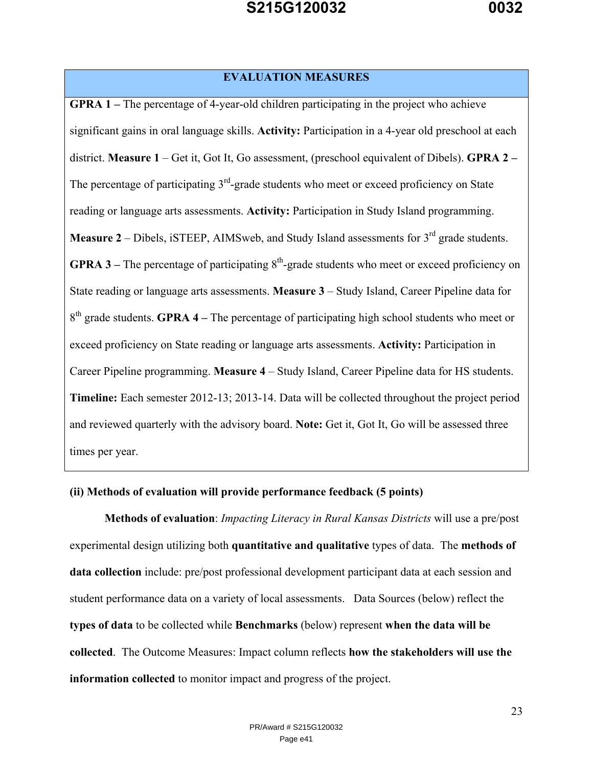## **EVALUATION MEASURES**

**GPRA 1 –** The percentage of 4-year-old children participating in the project who achieve significant gains in oral language skills. **Activity:** Participation in a 4-year old preschool at each district. **Measure 1** – Get it, Got It, Go assessment, (preschool equivalent of Dibels). **GPRA 2 –** The percentage of participating  $3<sup>rd</sup>$ -grade students who meet or exceed proficiency on State reading or language arts assessments. **Activity:** Participation in Study Island programming. Measure 2 – Dibels, iSTEEP, AIMSweb, and Study Island assessments for 3<sup>rd</sup> grade students. **GPRA 3** – The percentage of participating  $8<sup>th</sup>$ -grade students who meet or exceed proficiency on State reading or language arts assessments. **Measure 3** – Study Island, Career Pipeline data for 8<sup>th</sup> grade students. **GPRA 4** – The percentage of participating high school students who meet or exceed proficiency on State reading or language arts assessments. **Activity:** Participation in Career Pipeline programming. **Measure 4** – Study Island, Career Pipeline data for HS students. **Timeline:** Each semester 2012-13; 2013-14. Data will be collected throughout the project period and reviewed quarterly with the advisory board. **Note:** Get it, Got It, Go will be assessed three times per year.

## **(ii) Methods of evaluation will provide performance feedback (5 points)**

**Methods of evaluation**: *Impacting Literacy in Rural Kansas Districts* will use a pre/post experimental design utilizing both **quantitative and qualitative** types of data. The **methods of data collection** include: pre/post professional development participant data at each session and student performance data on a variety of local assessments. Data Sources (below) reflect the **types of data** to be collected while **Benchmarks** (below) represent **when the data will be collected**. The Outcome Measures: Impact column reflects **how the stakeholders will use the information collected** to monitor impact and progress of the project.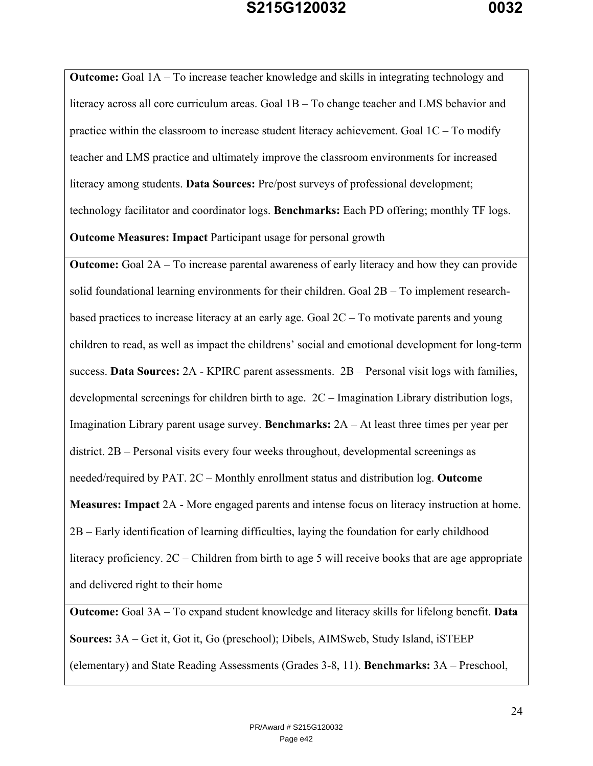**Outcome:** Goal 1A – To increase teacher knowledge and skills in integrating technology and literacy across all core curriculum areas. Goal 1B – To change teacher and LMS behavior and practice within the classroom to increase student literacy achievement. Goal  $1C - To$  modify teacher and LMS practice and ultimately improve the classroom environments for increased literacy among students. **Data Sources:** Pre/post surveys of professional development; technology facilitator and coordinator logs. **Benchmarks:** Each PD offering; monthly TF logs. **Outcome Measures: Impact** Participant usage for personal growth

**Outcome:** Goal 2A – To increase parental awareness of early literacy and how they can provide solid foundational learning environments for their children. Goal 2B – To implement researchbased practices to increase literacy at an early age. Goal 2C – To motivate parents and young children to read, as well as impact the childrens' social and emotional development for long-term success. **Data Sources:** 2A - KPIRC parent assessments. 2B – Personal visit logs with families, developmental screenings for children birth to age. 2C – Imagination Library distribution logs, Imagination Library parent usage survey. **Benchmarks:** 2A – At least three times per year per district. 2B – Personal visits every four weeks throughout, developmental screenings as needed/required by PAT. 2C – Monthly enrollment status and distribution log. **Outcome Measures: Impact** 2A - More engaged parents and intense focus on literacy instruction at home. 2B – Early identification of learning difficulties, laying the foundation for early childhood literacy proficiency. 2C – Children from birth to age 5 will receive books that are age appropriate and delivered right to their home

**Outcome:** Goal 3A – To expand student knowledge and literacy skills for lifelong benefit. **Data Sources:** 3A – Get it, Got it, Go (preschool); Dibels, AIMSweb, Study Island, iSTEEP (elementary) and State Reading Assessments (Grades 3-8, 11). **Benchmarks:** 3A – Preschool,